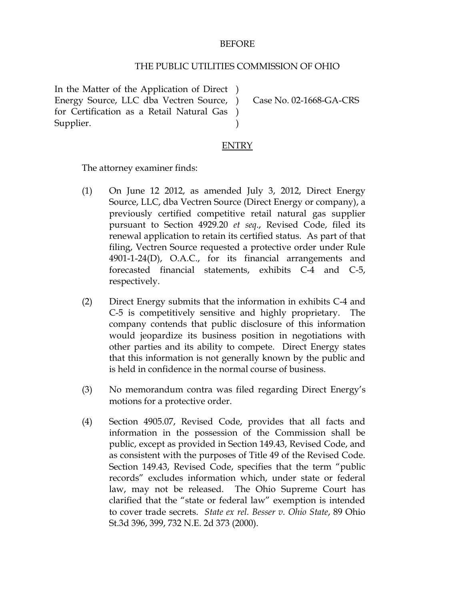#### BEFORE

#### THE PUBLIC UTILITIES COMMISSION OF OHIO

In the Matter of the Application of Direct ) Energy Source, LLC dba Vectren Source, ) for Certification as a Retail Natural Gas ) Supplier. )

Case No. 02-1668-GA-CRS

### **ENTRY**

The attorney examiner finds:

- (1) On June 12 2012, as amended July 3, 2012, Direct Energy Source, LLC, dba Vectren Source (Direct Energy or company), a previously certified competitive retail natural gas supplier pursuant to Section 4929.20 *et seq*., Revised Code, filed its renewal application to retain its certified status. As part of that filing, Vectren Source requested a protective order under Rule 4901-1-24(D), O.A.C., for its financial arrangements and forecasted financial statements, exhibits C-4 and C-5, respectively.
- (2) Direct Energy submits that the information in exhibits C-4 and C-5 is competitively sensitive and highly proprietary. The company contends that public disclosure of this information would jeopardize its business position in negotiations with other parties and its ability to compete. Direct Energy states that this information is not generally known by the public and is held in confidence in the normal course of business.
- (3) No memorandum contra was filed regarding Direct Energy's motions for a protective order.
- (4) Section 4905.07, Revised Code, provides that all facts and information in the possession of the Commission shall be public, except as provided in Section 149.43, Revised Code, and as consistent with the purposes of Title 49 of the Revised Code. Section 149.43, Revised Code, specifies that the term "public records" excludes information which, under state or federal law, may not be released. The Ohio Supreme Court has clarified that the "state or federal law" exemption is intended to cover trade secrets. *State ex rel. Besser v. Ohio State*, 89 Ohio St.3d 396, 399, 732 N.E. 2d 373 (2000).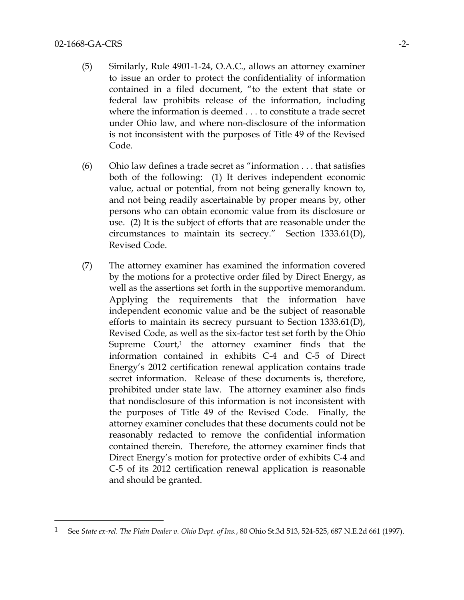$\overline{a}$ 

- (5) Similarly, Rule 4901-1-24, O.A.C., allows an attorney examiner to issue an order to protect the confidentiality of information contained in a filed document, "to the extent that state or federal law prohibits release of the information, including where the information is deemed . . . to constitute a trade secret under Ohio law, and where non-disclosure of the information is not inconsistent with the purposes of Title 49 of the Revised Code.
- (6) Ohio law defines a trade secret as "information . . . that satisfies both of the following: (1) It derives independent economic value, actual or potential, from not being generally known to, and not being readily ascertainable by proper means by, other persons who can obtain economic value from its disclosure or use. (2) It is the subject of efforts that are reasonable under the circumstances to maintain its secrecy." Section 1333.61(D), Revised Code.
- (7) The attorney examiner has examined the information covered by the motions for a protective order filed by Direct Energy, as well as the assertions set forth in the supportive memorandum. Applying the requirements that the information have independent economic value and be the subject of reasonable efforts to maintain its secrecy pursuant to Section 1333.61(D), Revised Code, as well as the six-factor test set forth by the Ohio Supreme  $Count<sub>i</sub>$  the attorney examiner finds that the information contained in exhibits C-4 and C-5 of Direct Energy's 2012 certification renewal application contains trade secret information. Release of these documents is, therefore, prohibited under state law. The attorney examiner also finds that nondisclosure of this information is not inconsistent with the purposes of Title 49 of the Revised Code. Finally, the attorney examiner concludes that these documents could not be reasonably redacted to remove the confidential information contained therein. Therefore, the attorney examiner finds that Direct Energy's motion for protective order of exhibits C-4 and C-5 of its 2012 certification renewal application is reasonable and should be granted.

<sup>1</sup> See *State ex-rel. The Plain Dealer v. Ohio Dept. of Ins.*, 80 Ohio St.3d 513, 524-525, 687 N.E.2d 661 (1997).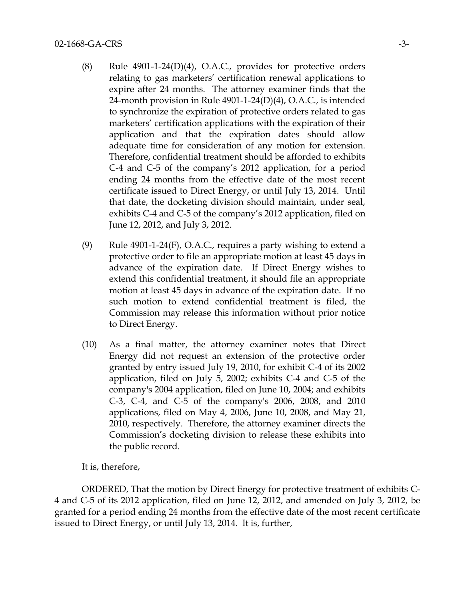- (8) Rule 4901-1-24(D)(4), O.A.C., provides for protective orders relating to gas marketers' certification renewal applications to expire after 24 months. The attorney examiner finds that the 24-month provision in Rule 4901-1-24(D)(4), O.A.C., is intended to synchronize the expiration of protective orders related to gas marketers' certification applications with the expiration of their application and that the expiration dates should allow adequate time for consideration of any motion for extension. Therefore, confidential treatment should be afforded to exhibits C-4 and C-5 of the company's 2012 application, for a period ending 24 months from the effective date of the most recent certificate issued to Direct Energy, or until July 13, 2014. Until that date, the docketing division should maintain, under seal, exhibits C-4 and C-5 of the company's 2012 application, filed on June 12, 2012, and July 3, 2012.
- (9) Rule  $4901$ -1-24(F), O.A.C., requires a party wishing to extend a protective order to file an appropriate motion at least 45 days in advance of the expiration date. If Direct Energy wishes to extend this confidential treatment, it should file an appropriate motion at least 45 days in advance of the expiration date. If no such motion to extend confidential treatment is filed, the Commission may release this information without prior notice to Direct Energy.
- (10) As a final matter, the attorney examiner notes that Direct Energy did not request an extension of the protective order granted by entry issued July 19, 2010, for exhibit C-4 of its 2002 application, filed on July 5, 2002; exhibits C-4 and C-5 of the company's 2004 application, filed on June 10, 2004; and exhibits C-3, C-4, and C-5 of the company's 2006, 2008, and 2010 applications, filed on May 4, 2006, June 10, 2008, and May 21, 2010, respectively. Therefore, the attorney examiner directs the Commission's docketing division to release these exhibits into the public record.

It is, therefore,

ORDERED, That the motion by Direct Energy for protective treatment of exhibits C-4 and C-5 of its 2012 application, filed on June 12, 2012, and amended on July 3, 2012, be granted for a period ending 24 months from the effective date of the most recent certificate issued to Direct Energy, or until July 13, 2014. It is, further,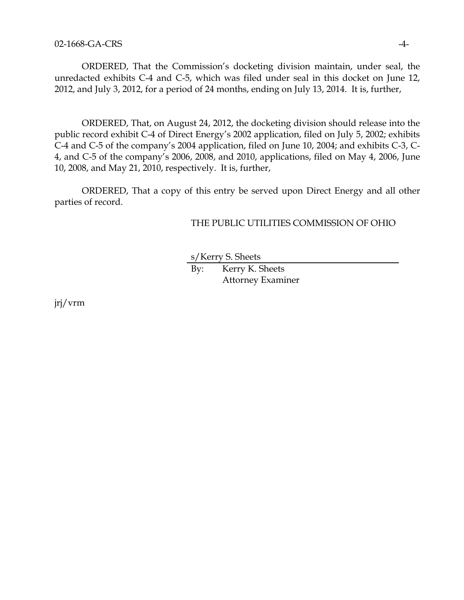ORDERED, That the Commission's docketing division maintain, under seal, the unredacted exhibits C-4 and C-5, which was filed under seal in this docket on June 12, 2012, and July 3, 2012, for a period of 24 months, ending on July 13, 2014. It is, further,

ORDERED, That, on August 24, 2012, the docketing division should release into the public record exhibit C-4 of Direct Energy's 2002 application, filed on July 5, 2002; exhibits C-4 and C-5 of the company's 2004 application, filed on June 10, 2004; and exhibits C-3, C-4, and C-5 of the company's 2006, 2008, and 2010, applications, filed on May 4, 2006, June 10, 2008, and May 21, 2010, respectively. It is, further,

ORDERED, That a copy of this entry be served upon Direct Energy and all other parties of record.

## THE PUBLIC UTILITIES COMMISSION OF OHIO

s/Kerry S. Sheets

By: Kerry K. Sheets Attorney Examiner

jrj/vrm